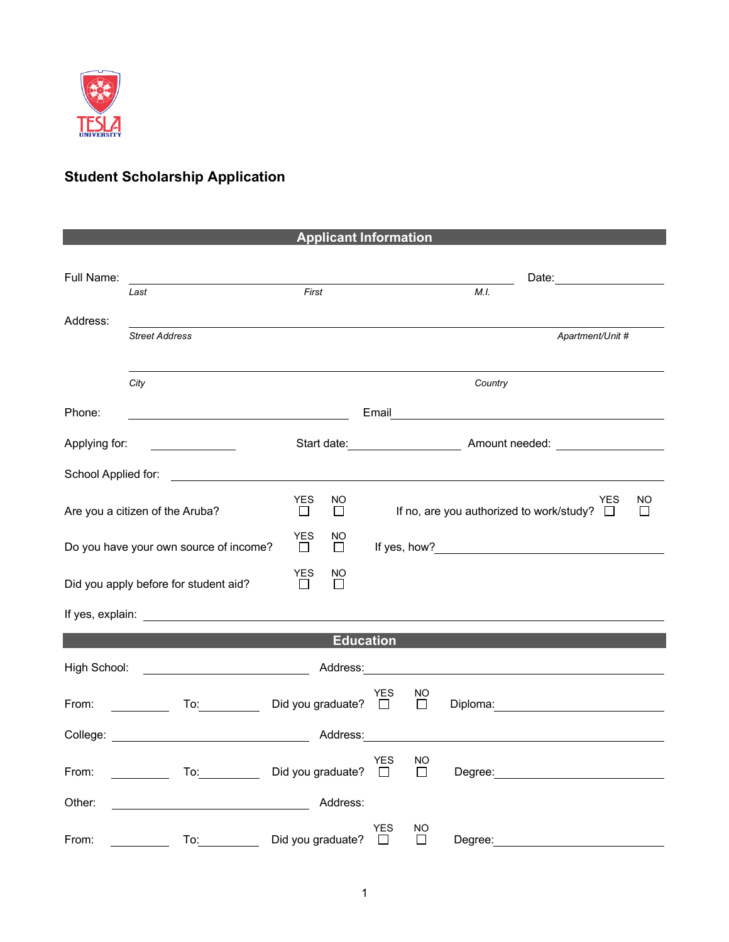

## **Student Scholarship Application**

| <b>Applicant Information</b>                                                        |                                                                                                                                                                                                                                |                                       |                                                                     |               |         |                                                                                                                                                                                                                                |           |  |  |  |
|-------------------------------------------------------------------------------------|--------------------------------------------------------------------------------------------------------------------------------------------------------------------------------------------------------------------------------|---------------------------------------|---------------------------------------------------------------------|---------------|---------|--------------------------------------------------------------------------------------------------------------------------------------------------------------------------------------------------------------------------------|-----------|--|--|--|
|                                                                                     |                                                                                                                                                                                                                                |                                       |                                                                     |               |         |                                                                                                                                                                                                                                |           |  |  |  |
| Full Name:                                                                          |                                                                                                                                                                                                                                |                                       |                                                                     |               |         | Date:                                                                                                                                                                                                                          |           |  |  |  |
|                                                                                     | Last                                                                                                                                                                                                                           | First                                 |                                                                     |               | M.I.    |                                                                                                                                                                                                                                |           |  |  |  |
|                                                                                     |                                                                                                                                                                                                                                |                                       |                                                                     |               |         |                                                                                                                                                                                                                                |           |  |  |  |
| Address:                                                                            | <b>Street Address</b>                                                                                                                                                                                                          |                                       |                                                                     |               |         | Apartment/Unit #                                                                                                                                                                                                               |           |  |  |  |
|                                                                                     |                                                                                                                                                                                                                                |                                       |                                                                     |               |         |                                                                                                                                                                                                                                |           |  |  |  |
|                                                                                     |                                                                                                                                                                                                                                |                                       |                                                                     |               |         |                                                                                                                                                                                                                                |           |  |  |  |
|                                                                                     | City                                                                                                                                                                                                                           |                                       |                                                                     |               | Country |                                                                                                                                                                                                                                |           |  |  |  |
| Phone:                                                                              | Email <u>__________________________________</u>                                                                                                                                                                                |                                       |                                                                     |               |         |                                                                                                                                                                                                                                |           |  |  |  |
|                                                                                     |                                                                                                                                                                                                                                |                                       |                                                                     |               |         |                                                                                                                                                                                                                                |           |  |  |  |
| Applying for:                                                                       |                                                                                                                                                                                                                                |                                       |                                                                     |               |         |                                                                                                                                                                                                                                |           |  |  |  |
| School Applied for:                                                                 |                                                                                                                                                                                                                                |                                       |                                                                     |               |         |                                                                                                                                                                                                                                |           |  |  |  |
|                                                                                     |                                                                                                                                                                                                                                |                                       |                                                                     |               |         |                                                                                                                                                                                                                                |           |  |  |  |
|                                                                                     | Are you a citizen of the Aruba?                                                                                                                                                                                                | <b>YES</b><br>$\perp$                 | NO.<br>If no, are you authorized to work/study? $\square$<br>$\Box$ |               |         | YES                                                                                                                                                                                                                            | <b>NO</b> |  |  |  |
|                                                                                     |                                                                                                                                                                                                                                |                                       |                                                                     |               |         |                                                                                                                                                                                                                                |           |  |  |  |
|                                                                                     | Do you have your own source of income?                                                                                                                                                                                         | <b>YES</b><br>NO.<br>$\Box$<br>$\Box$ |                                                                     |               |         |                                                                                                                                                                                                                                |           |  |  |  |
|                                                                                     |                                                                                                                                                                                                                                | YES                                   |                                                                     |               |         |                                                                                                                                                                                                                                |           |  |  |  |
|                                                                                     | Did you apply before for student aid?                                                                                                                                                                                          | NO.<br>П                              |                                                                     |               |         |                                                                                                                                                                                                                                |           |  |  |  |
|                                                                                     |                                                                                                                                                                                                                                |                                       |                                                                     |               |         |                                                                                                                                                                                                                                |           |  |  |  |
|                                                                                     |                                                                                                                                                                                                                                |                                       |                                                                     |               |         |                                                                                                                                                                                                                                |           |  |  |  |
|                                                                                     |                                                                                                                                                                                                                                |                                       | <b>Education</b>                                                    |               |         |                                                                                                                                                                                                                                |           |  |  |  |
|                                                                                     |                                                                                                                                                                                                                                |                                       |                                                                     |               |         |                                                                                                                                                                                                                                |           |  |  |  |
| High School:                                                                        | <u> Liston de la componenta</u>                                                                                                                                                                                                |                                       |                                                                     |               |         | Address: Analysis and the state of the state of the state of the state of the state of the state of the state of the state of the state of the state of the state of the state of the state of the state of the state of the s |           |  |  |  |
|                                                                                     |                                                                                                                                                                                                                                |                                       | YES                                                                 | NO            |         |                                                                                                                                                                                                                                |           |  |  |  |
| From:                                                                               | To: the contract of the contract of the contract of the contract of the contract of the contract of the contract of the contract of the contract of the contract of the contract of the contract of the contract of the contra | Did you graduate? $\Box$              |                                                                     | $\Box$        |         |                                                                                                                                                                                                                                |           |  |  |  |
|                                                                                     | College: <u>College:</u> Address:                                                                                                                                                                                              |                                       |                                                                     |               |         |                                                                                                                                                                                                                                |           |  |  |  |
|                                                                                     |                                                                                                                                                                                                                                |                                       |                                                                     |               |         |                                                                                                                                                                                                                                |           |  |  |  |
| To: Did you graduate? $\Box$<br>From:<br>$\mathbb{R}^n$ . The set of $\mathbb{R}^n$ |                                                                                                                                                                                                                                |                                       | YES                                                                 | NO.<br>$\Box$ |         | Degree: <u>www.community.com</u>                                                                                                                                                                                               |           |  |  |  |
|                                                                                     |                                                                                                                                                                                                                                |                                       |                                                                     |               |         |                                                                                                                                                                                                                                |           |  |  |  |
| Other:                                                                              |                                                                                                                                                                                                                                |                                       | Address:                                                            |               |         |                                                                                                                                                                                                                                |           |  |  |  |
|                                                                                     |                                                                                                                                                                                                                                |                                       | YES                                                                 | NO            |         |                                                                                                                                                                                                                                |           |  |  |  |
| From:                                                                               | To:                                                                                                                                                                                                                            | Did you graduate?                     | П                                                                   | П             | Degree: |                                                                                                                                                                                                                                |           |  |  |  |